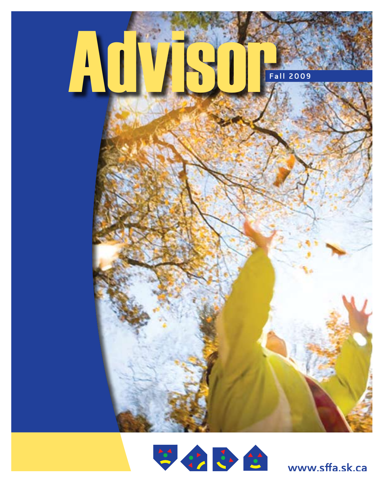



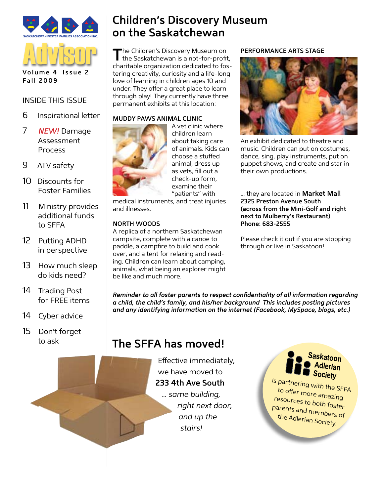

#### **INSIDE THIS ISSUE**

- 6 Inspirational letter
- $\overline{7}$ **NEW!** Damage Assessment **Process**
- 9 ATV safety
- 10 Discounts for **Foster Families**
- $11$ Ministry provides additional funds to SFFA
- 12 Putting ADHD in perspective
- 13 How much sleep do kids need?
- 14 Trading Post for FREE items
- 14 Cyber advice
- 15 Don't forget to ask

### **Children's Discovery Museum** on the Saskatchewan

The Children's Discovery Museum on the Saskatchewan is a not-for-profit, charitable organization dedicated to fostering creativity, curiosity and a life-long love of learning in children ages 10 and under. They offer a great place to learn through play! They currently have three permanent exhibits at this location:

#### **MUDDY PAWS ANIMAL CLINIC**



A vet clinic where children learn about taking care of animals. Kids can choose a stuffed animal, dress up as vets, fill out a check-up form, examine their "patients" with

medical instruments, and treat injuries and illnesses

#### **NORTH WOODS**

A replica of a northern Saskatchewan campsite, complete with a canoe to paddle, a campfire to build and cook over, and a tent for relaxing and reading. Children can learn about camping, animals, what being an explorer might be like and much more.

#### PERFORMANCE ARTS STAGE



An exhibit dedicated to theatre and music. Children can put on costumes, dance, sing, play instruments, put on puppet shows, and create and star in their own productions.

... they are located in Market Mall 2325 Preston Avenue South (across from the Mini-Golf and right next to Mulberry's Restaurant) **Phone: 683-2555** 

Please check it out if you are stopping through or live in Saskatoon!

Reminder to all foster parents to respect confidentiality of all information regarding a child, the child's family, and his/her background This includes posting pictures and any identifying information on the internet (Facebook, MySpace, blogs, etc.)

### The SFFA has moved!

Effective immediately, we have moved to 233 4th Ave South ... same building,

right next door, and up the stairs!

#### Saskatoon **Adlerian** Society

is partnering with the SFFA to offer more amazing resources to both foster parents and members of the Adlerian Society.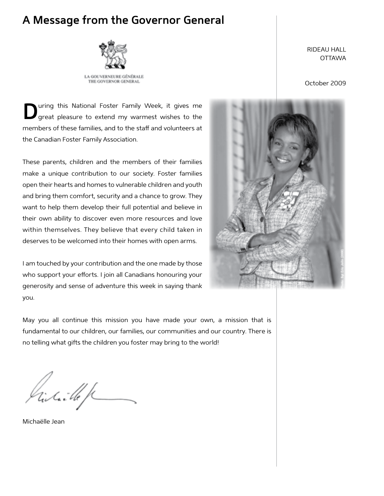### **A Message from the Governor General**



LA GOUVERNEURE GÉNÉRALE THE GOVERNOR GENERAL

RIDEAU HALL OTTAWA

October 2009

**D**uring this National Foster Family Week, it gives me great pleasure to extend my warmest wishes to the members of these families, and to the staff and volunteers at the Canadian Foster Family Association.

These parents, children and the members of their families make a unique contribution to our society. Foster families open their hearts and homes to vulnerable children and youth and bring them comfort, security and a chance to grow. They want to help them develop their full potential and believe in their own ability to discover even more resources and love within themselves. They believe that every child taken in deserves to be welcomed into their homes with open arms.

I am touched by your contribution and the one made by those who support your efforts. I join all Canadians honouring your generosity and sense of adventure this week in saying thank you.



May you all continue this mission you have made your own, a mission that is fundamental to our children, our families, our communities and our country. There is no telling what gifts the children you foster may bring to the world!

hinti le p

Michaëlle Jean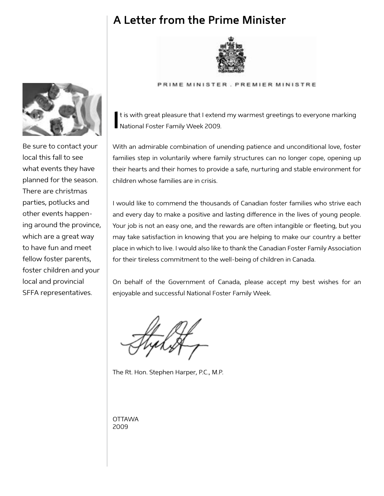## **A Letter from the Prime Minister**



#### PRIME MINISTER . PREMIER MINISTRE

**I** t is with great pleasure that I extend my warmest greetings to everyone marking<br>National Foster Family Week 2009. National Foster Family Week 2009.

With an admirable combination of unending patience and unconditional love, foster families step in voluntarily where family structures can no longer cope, opening up their hearts and their homes to provide a safe, nurturing and stable environment for children whose families are in crisis.

I would like to commend the thousands of Canadian foster families who strive each and every day to make a positive and lasting diference in the lives of young people. Your job is not an easy one, and the rewards are often intangible or fleeting, but you may take satisfaction in knowing that you are helping to make our country a better place in which to live. I would also like to thank the Canadian Foster Family Association for their tireless commitment to the well-being of children in Canada.

On behalf of the Government of Canada, please accept my best wishes for an enjoyable and successful National Foster Family Week.

The Rt. Hon. Stephen Harper, P.C., M.P.

OTTAWA 2009



Be sure to contact your local this fall to see what events they have planned for the season. There are christmas parties, potlucks and other events happening around the province, which are a great way to have fun and meet fellow foster parents, foster children and your local and provincial SFFA representatives.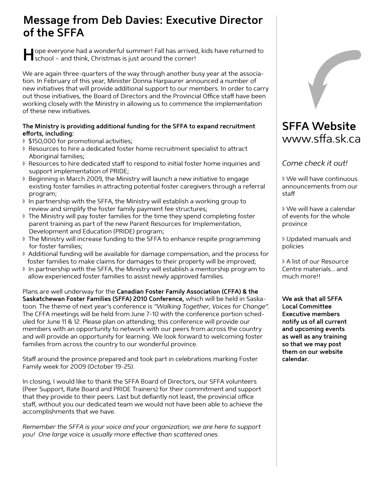### **Message from Deb Davies: Executive Director of the SFFA**

**H**ope everyone had a wonderful summer! Fall has arrived, kids have returned to school – and think, Christmas is just around the corner!

We are again three-quarters of the way through another busy year at the association. In February of this year, Minister Donna Harpaurer announced a number of new initiatives that will provide additional support to our members. In order to carry out those initiatives, the Board of Directors and the Provincial Office staff have been working closely with the Ministry in allowing us to commence the implementation of these new initiatives.

#### **The Ministry is providing additional funding for the SFFA to expand recruitment eforts, including:**

- \$150,000 for promotional activities;
- $\blacktriangleright$  Resources to hire a dedicated foster home recruitment specialist to attract Aboriginal families;
- $\blacktriangleright$  Resources to hire dedicated staff to respond to initial foster home inquiries and support implementation of PRIDE;
- Beginning in March 2009, the Ministry will launch a new initiative to engage existing foster families in attracting potential foster caregivers through a referral program;
- In partnership with the SFFA, the Ministry will establish a working group to review and simplify the foster family payment fee structures;
- The Ministry will pay foster families for the time they spend completing foster parent training as part of the new Parent Resources for Implementation, Development and Education (PRIDE) program;
- If The Ministry will increase funding to the SFFA to enhance respite programming for foster families;
- If Additional funding will be available for damage compensation, and the process for foster families to make claims for damages to their property will be improved;
- $\blacktriangleright$  In partnership with the SFFA, the Ministry will establish a mentorship program to allow experienced foster families to assist newly approved families.

Plans are well underway for the **Canadian Foster Family Association (CFFA) & the Saskatchewan Foster Families (SFFA) 2010 Conference,** which will be held in Saskatoon. The theme of next year's conference is *"Walking Together, Voices for Change".*  The CFFA meetings will be held from June 7-10 with the conference portion scheduled for June 11 & 12. Please plan on attending; this conference will provide our members with an opportunity to network with our peers from across the country and will provide an opportunity for learning. We look forward to welcoming foster families from across the country to our wonderful province.

Staf around the province prepared and took part in celebrations marking Foster Family week for 2009 (October 19-25).

In closing, I would like to thank the SFFA Board of Directors, our SFFA volunteers (Peer Support, Rate Board and PRIDE Trainers) for their commitment and support that they provide to their peers. Last but defiantly not least, the provincial office staf, without you our dedicated team we would not have been able to achieve the accomplishments that we have.

*Remember the SFFA is your voice and your organization; we are here to support you! One large voice is usually more efective than scattered ones.*



*Come check it out!* 

We will have continuous announcements from our staf

We will have a calendar of events for the whole province

Updated manuals and policies

A list of our Resource Centre materials... and much more!!

**We ask that all SFFA Local Committee Executive members notify us of all current and upcoming events as well as any training so that we may post them on our website calendar.**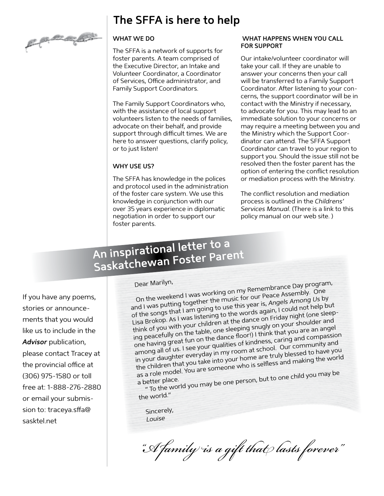### **The SFFA is here to help**



#### **WHAT WE DO**

The SFFA is a network of supports for foster parents. A team comprised of the Executive Director, an Intake and Volunteer Coordinator, a Coordinator of Services, Office administrator, and Family Support Coordinators.

The Family Support Coordinators who, with the assistance of local support volunteers listen to the needs of families, advocate on their behalf, and provide support through difficult times. We are here to answer questions, clarify policy, or to just listen!

#### **WHY USE US?**

The SFFA has knowledge in the polices and protocol used in the administration of the foster care system. We use this knowledge in conjunction with our over 35 years experience in diplomatic negotiation in order to support our foster parents.

#### **WHAT HAPPENS WHEN YOU CALL FOR SUPPORT**

Our intake/volunteer coordinator will take your call. If they are unable to answer your concerns then your call will be transferred to a Family Support Coordinator. After listening to your concerns, the support coordinator will be in contact with the Ministry if necessary, to advocate for you. This may lead to an immediate solution to your concerns or may require a meeting between you and the Ministry which the Support Coordinator can attend. The SFFA Support Coordinator can travel to your region to support you. Should the issue still not be resolved then the foster parent has the option of entering the conflict resolution or mediation process with the Ministry.

The conflict resolution and mediation process is outlined in the *Childrens' Services Manual*. (There is a link to this policy manual on our web site. )

# **An inspirational letter to a Saskatchewan Foster Parent**

If you have any poems, stories or announcements that you would like us to include in the *Advisor* publication, please contact Tracey at the provincial office at (306) 975-1580 or toll free at: 1-888-276-2880 or email your submission to: traceya.sfa@ sasktel.net

Dear Marilyn,<br>On the weekend I was working on my Remembrance Day program,<br>On the weekend I was working on my Remembrance Assembly. One and I was putting together the music for our Peace Assembly. One of the songs that I am going to use this year is, *Angels Among Us* by Lisa Brokop. As I was listening to the words again, I could not help but think of you with your children at the dance on Friday night (one sleeping peacefully on the table, one sleeping snugly on your shoulder an<sup>d</sup> one having great fun on the dance floor!) I think that you are an angel among all of us. I see your qualities of kindness, caring and compassion in your daughter everyday in my room at school. Our community an<sup>d</sup> the children that you take into your home are truly blessed to have you as a role model. You are someone who is selfless and making the world

a better place. " To the world you may be one person, but to one child you may be

the world."

Sincerely, *Louise* 

*"A* fa*mil*y i*s* a g*ift* th*a*t l*asts fo*r*ver"*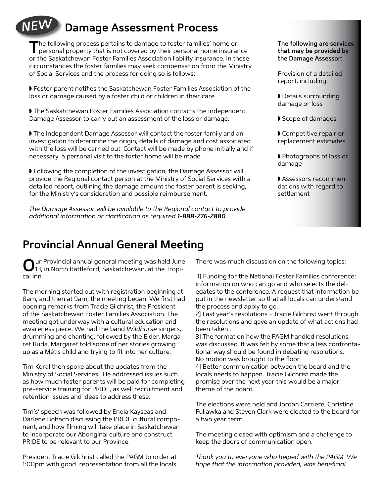# **NEW Damage Assessment Process**

The following process pertains to damage to foster families' home or personal property that is not covered by their personal home insurance or the Saskatchewan Foster Families Association liability insurance. In these circumstances the foster families may seek compensation from the Ministry of Social Services and the process for doing so is follows:

Soster parent notifies the Saskatchewan Foster Families Association of the loss or damage caused by a foster child or children in their care.

The Saskatchewan Foster Families Association contacts the Independent Damage Assessor to carry out an assessment of the loss or damage.

The Independent Damage Assessor will contact the foster family and an investigation to determine the origin, details of damage and cost associated with the loss will be carried out. Contact will be made by phone initially and if necessary, a personal visit to the foster home will be made.

If Following the completion of the investigation, the Damage Assessor will provide the Regional contact person at the Ministry of Social Services with a detailed report, outlining the damage amount the foster parent is seeking, for the Ministry's consideration and possible reimbursement.

The Damage Assessor will be available to the Regional contact to provide additional information or clarification as required 1-888-276-2880.

## **Provincial Annual General Meeting**

 $\sum_{13}$  ur Provincial annual general meeting was held June 13, in North Battleford, Saskatchewan, at the Tropical Inn.

The morning started out with registration beginning at 8am, and then at 9am, the meeting began. We first had opening remarks from Tracie Gilchrist, the President of the Saskatchewan Foster Families Association. The meeting got underway with a cultural education and awareness piece. We had the band Wildhorse singers, drumming and chanting, followed by the Elder, Margaret Ruda. Margaret told some of her stories growing up as a Métis child and trying to fit into her culture.

Tim Koral then spoke about the updates from the Ministry of Social Services. He addressed issues such as how much foster parents will be paid for completing pre-service training for PRIDE, as well recruitment and retention issues and ideas to address these.

Tim's' speech was followed by Enola Kayseas and Darlene Bohach discussing the PRIDE cultural component, and how filming will take place in Saskatchewan to incorporate our Aboriginal culture and construct PRIDE to be relevant to our Province.

President Tracie Gilchrist called the PAGM to order at 1:00pm with good representation from all the locals. The following are services that may be provided by the Damage Assessor:

Provision of a detailed report, including:

Details surrounding damage or loss

Scope of damages

Competitive repair or replacement estimates

Photographs of loss or damage

Assessors recommendations with regard to settlement

There was much discussion on the following topics:

1] Funding for the National Foster Families conference: information on who can go and who selects the delegates to the conference. A request that information be put in the newsletter so that all locals can understand the process and apply to go.

2] Last year's resolutions - Tracie Gilchrist went through the resolutions and gave an update of what actions had heen taken

3] The format on how the PAGM handled resolutions was discussed. It was felt by some that a less confrontational way should be found in debating resolutions. No motion was brought to the floor.

4] Better communication between the board and the locals needs to happen. Tracie Gilchrist made the promise over the next year this would be a major theme of the board.

The elections were held and Jordan Carriere, Christine Fullawka and Steven Clark were elected to the board for a two year term.

The meeting closed with optimism and a challenge to keep the doors of communication open.

Thank you to everyone who helped with the PAGM. We hope that the information provided, was beneficial.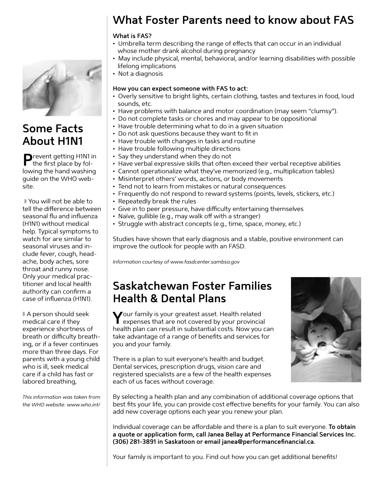

## **Some Facts** About H1N1

 $\sum_{\text{the } r}$  revent getting H1N1 in the first place by following the hand washing quide on the WHO website

Nou will not be able to tell the difference between seasonal flu and influenza (H1N1) without medical help. Typical symptoms to watch for are similar to seasonal viruses and include fever, cough, headache, body aches, sore throat and runny nose. Only your medical practitioner and local health authority can confirm a case of influenza (H1N1).

A person should seek medical care if they experience shortness of breath or difficulty breathing, or if a fever continues more than three days. For parents with a young child who is ill, seek medical care if a child has fast or labored breathing,

This information was taken from the WHO website: www.who.int/

## What Foster Parents need to know about FAS

#### What is FAS?

- Umbrella term describing the range of effects that can occur in an individual whose mother drank alcohol during pregnancy
- May include physical, mental, behavioral, and/or learning disabilities with possible lifelong implications
- Not a diagnosis

#### How you can expect someone with FAS to act:

- Overly sensitive to bright lights, certain clothing, tastes and textures in food, loud sounds, etc.
- Have problems with balance and motor coordination (may seem "clumsy").
- Do not complete tasks or chores and may appear to be oppositional
- Have trouble determining what to do in a given situation
- Do not ask questions because they want to fit in
- Have trouble with changes in tasks and routine
- Have trouble following multiple directions
- Say they understand when they do not
- Have verbal expressive skills that often exceed their verbal receptive abilities
- Cannot operationalize what they've memorized (e.g., multiplication tables)
- Misinterpret others' words, actions, or body movements
- Tend not to learn from mistakes or natural consequences
- Frequently do not respond to reward systems (points, levels, stickers, etc.)
- Repeatedly break the rules
- · Give in to peer pressure, have difficulty entertaining themselves
- Naïve, gullible (e.g., may walk off with a stranger)
- · Struggle with abstract concepts (e.g., time, space, money, etc.)

Studies have shown that early diagnosis and a stable, positive environment can improve the outlook for people with an FASD.

Information courtesy of www.fasdcenter.sambsa.gov

## Saskatchewan Foster Families **Health & Dental Plans**

Your family is your greatest asset. Health related<br>Yexpenses that are not covered by your provincial health plan can result in substantial costs. Now you can take advantage of a range of benefits and services for you and your family.

There is a plan to suit everyone's health and budget. Dental services, prescription drugs, vision care and registered specialists are a few of the health expenses each of us faces without coverage.



By selecting a health plan and any combination of additional coverage options that best fits your life, you can provide cost effective benefits for your family. You can also add new coverage options each year you renew your plan.

Individual coverage can be affordable and there is a plan to suit everyone. To obtain a quote or application form, call Janea Bellay at Performance Financial Services Inc. (306) 281-3891 in Saskatoon or email janea@performancefinancial.ca.

Your family is important to you. Find out how you can get additional benefits!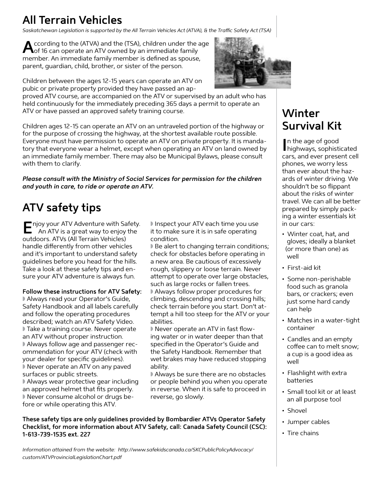# **All Terrain Vehicles**

*Saskatchewan Legislation is supported by the All Terrain Vehicles Act (ATVA), & the Trafc Safety Act (TSA)*

According to the (ATVA) and the (TSA), children under the age<br>
of 16 can operate an ATV owned by an immediate family member. An immediate family member is defined as spouse, parent, guardian, child, brother, or sister of the person.

Children between the ages 12-15 years can operate an ATV on pubic or private property provided they have passed an ap-



proved ATV course, are accompanied on the ATV or supervised by an adult who has held continuously for the immediately preceding 365 days a permit to operate an ATV or have passed an approved safety training course.

Children ages 12-15 can operate an ATV on an untraveled portion of the highway or for the purpose of crossing the highway, at the shortest available route possible. Everyone must have permission to operate an ATV on private property. It is mandatory that everyone wear a helmet, except when operating an ATV on land owned by an immediate family member. There may also be Municipal Bylaws, please consult with them to clarify.

*Please consult with the Ministry of Social Services for permission for the children and youth in care, to ride or operate an ATV.* 

# **ATV safety tips**

**E**njoy your ATV Adventure with Safety. An ATV is a great way to enjoy the outdoors. ATVs (All Terrain Vehicles) handle diferently from other vehicles and it's important to understand safety guidelines before you head for the hills. Take a look at these safety tips and ensure your ATV adventure is always fun.

#### **Follow these instructions for ATV Safety:**

Always read your Operator's Guide, Safety Handbook and all labels carefully and follow the operating procedures described; watch an ATV Safety Video. I Take a training course. Never operate an ATV without proper instruction. Always follow age and passenger recommendation for your ATV (check with your dealer for specific guidelines). I Never operate an ATV on any paved surfaces or public streets. Always wear protective gear including

an approved helmet that fits properly. l Never consume alcohol or drugs before or while operating this ATV.

I Inspect your ATV each time you use it to make sure it is in safe operating condition.

 $\blacktriangleright$  Be alert to changing terrain conditions; check for obstacles before operating in a new area. Be cautious of excessively rough, slippery or loose terrain. Never attempt to operate over large obstacles, such as large rocks or fallen trees.

Always follow proper procedures for climbing, descending and crossing hills; check terrain before you start. Don't attempt a hill too steep for the ATV or your abilities.

I Never operate an ATV in fast flowing water or in water deeper than that specified in the Operator's Guide and the Safety Handbook. Remember that wet brakes may have reduced stopping ability.

Always be sure there are no obstacles or people behind you when you operate in reverse. When it is safe to proceed in reverse, go slowly.

**These safety tips are only guidelines provided by Bombardier ATVs Operator Safety Checklist, for more information about ATV Safety, call: Canada Safety Council (CSC): 1-613-739-1535 ext. 227** 

*Information attained from the website: http://www.safekidscanada.ca/SKCPublicPolicyAdvocacy/ custom/ATVProvincialLegislationChart.pdf*

# **Winter Survival Kit**

In the age of good<br>
highways, sophisticated n the age of good cars, and ever present cell phones, we worry less than ever about the hazards of winter driving. We shouldn't be so flippant about the risks of winter travel. We can all be better prepared by simply packing a winter essentials kit in our cars:

- Winter coat, hat, and gloves; ideally a blanket (or more than one) as well
- First-aid kit
- Some non-perishable food such as granola bars, or crackers; even just some hard candy can help
- Matches in a water-tight container
- Candles and an empty coffee can to melt snow; a cup is a good idea as well
- Flashlight with extra batteries
- Small tool kit or at least an all purpose tool
- Shovel
- Jumper cables
- Tire chains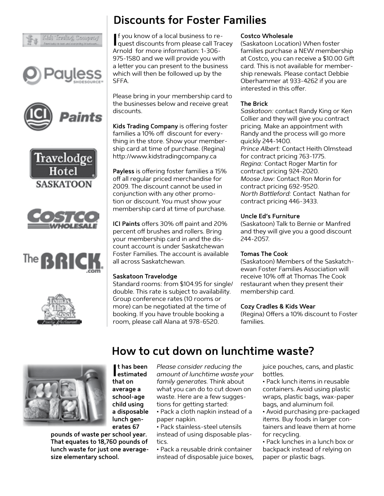













### **Discounts for Foster Families**

**I**<sup>f</sup> you know of a local business to re-<br>quest discounts from please call Tracey f you know of a local business to re-Arnold for more information: 1-306- 975-1580 and we will provide you with a letter you can present to the business which will then be followed up by the SFFA.

Please bring in your membership card to the businesses below and receive great discounts.

**Kids Trading Company** is offering foster families a 10% off discount for everything in the store. Show your membership card at time of purchase. (Regina) http://www.kidstradingcompany.ca

Payless is offering foster families a 15% off all regular priced merchandise for 2009. The discount cannot be used in conjunction with any other promotion or discount. You must show your membership card at time of purchase.

**ICI Paints** offers 30% off paint and 20% percent off brushes and rollers. Bring your membership card in and the discount account is under Saskatchewan Foster Families. The account is available all across Saskatchewan.

#### **Saskatoon Travelodge**

Standard rooms: from \$104.95 for single/ double. This rate is subject to availability. Group conference rates (10 rooms or more) can be negotiated at the time of booking. If you have trouble booking a room, please call Alana at 978-6520.

#### **Costco Wholesale**

(Saskatoon Location) When foster families purchase a NEW membership at Costco, you can receive a \$10.00 Gift card. This is not available for membership renewals. Please contact Debbie Oberhammer at 933-4262 if you are interested in this offer.

#### **The Brick**

*Saskatoon:* contact Randy King or Ken Collier and they will give you contract pricing. Make an appointment with Randy and the process will go more quickly 244-1400. *Prince Albert:* Contact Heith Olmstead for contract pricing 763-1775. *Regina:* Contact Roger Martin for contract pricing 924-2020. *Moose Jaw:* Contact Ron Morin for contract pricing 692-9520. *North Battleford:* Contact Nathan for contract pricing 446-3433.

#### **Uncle Ed's Furniture**

(Saskatoon) Talk to Bernie or Manfred and they will give you a good discount 244-2057.

#### **Tomas The Cook**

(Saskatoon) Members of the Saskatchewan Foster Families Association will receive 10% off at Thomas The Cook restaurant when they present their membership card.

#### **Cozy Cradles & Kids Wear**

(Regina) Offers a 10% discount to Foster families.



**I estimated that on average a school-age child using a disposable lunch generates 67** 

**t has been** 

**pounds of waste per school year. That equates to 18,760 pounds of lunch waste for just one averagesize elementary school.**

*Please consider reducing the amount of lunchtime waste your family generates.* Think about what you can do to cut down on waste. Here are a few suggestions for getting started:

**How to cut down on lunchtime waste?**

• Pack a cloth napkin instead of a paper napkin.

• Pack stainless-steel utensils instead of using disposable plastics.

• Pack a reusable drink container instead of disposable juice boxes, juice pouches, cans, and plastic bottles.

• Pack lunch items in reusable containers. Avoid using plastic wraps, plastic bags, wax-paper bags, and aluminum foil.

• Avoid purchasing pre-packaged items. Buy foods in larger containers and leave them at home for recycling.

• Pack lunches in a lunch box or backpack instead of relying on paper or plastic bags.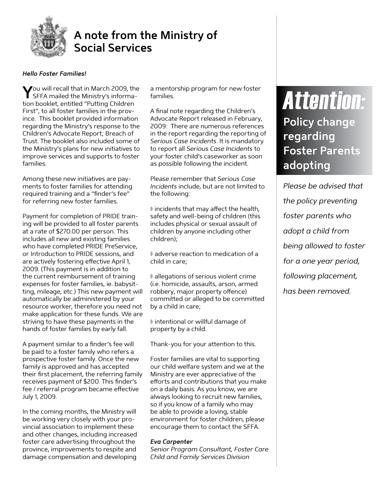

### **A note from the Ministry of Social Services**

#### *Hello Foster Families!*

**Y**ou will recall that in March 2009, the SFFA mailed the Ministry's information booklet, entitled "Putting Children First", to all foster families in the province. This booklet provided information regarding the Ministry's response to the Children's Advocate Report; Breach of Trust. The booklet also included some of the Ministry's plans for new initiatives to improve services and supports to foster families.

Among these new initiatives are payments to foster families for attending required training and a "finder's fee" for referring new foster families.

Payment for completion of PRIDE training will be provided to all foster parents at a rate of \$270.00 per person. This includes all new and existing families who have completed PRIDE PreService, or Introduction to PRIDE sessions, and are actively fostering efective April 1, 2009. (This payment is in addition to the current reimbursement of training expenses for foster families, ie. babysitting, mileage, etc.) This new payment will automatically be administered by your resource worker, therefore you need not make application for these funds. We are striving to have these payments in the hands of foster families by early fall.

A payment similar to a finder's fee will be paid to a foster family who refers a prospective foster family. Once the new family is approved and has accepted their first placement, the referring family receives payment of \$200. This finder's fee / referral program became efective July 1, 2009.

In the coming months, the Ministry will be working very closely with your provincial association to implement these and other changes, including increased foster care advertising throughout the province, improvements to respite and damage compensation and developing

a mentorship program for new foster families.

A final note regarding the Children's Advocate Report released in February, 2009: There are numerous references in the report regarding the reporting of *Serious Case Incidents*. It is mandatory to report all *Serious Case Incidents* to your foster child's caseworker as soon as possible following the incident.

Please remember that *Serious Case Incidents* include, but are not limited to the following:

I incidents that may affect the health, safety and well-being of children (this includes physical or sexual assault of children by anyone including other children);

adverse reaction to medication of a child in care;

I allegations of serious violent crime (i.e. homicide, assaults, arson, armed robbery, major property offence) committed or alleged to be committed by a child in care;

I intentional or willful damage of property by a child.

Thank-you for your attention to this.

Foster families are vital to supporting our child welfare system and we at the Ministry are ever appreciative of the efforts and contributions that you make on a daily basis. As you know, we are always looking to recruit new families, so if you know of a family who may be able to provide a loving, stable environment for foster children, please encourage them to contact the SFFA.

#### *Eva Carpenter*

*Senior Program Consultant, Foster Care Child and Family Services Division*

# Attention: **Policy change regarding Foster Parents adopting**

*Please be advised that the policy preventing foster parents who adopt a child from being allowed to foster for a one year period, following placement, has been removed.*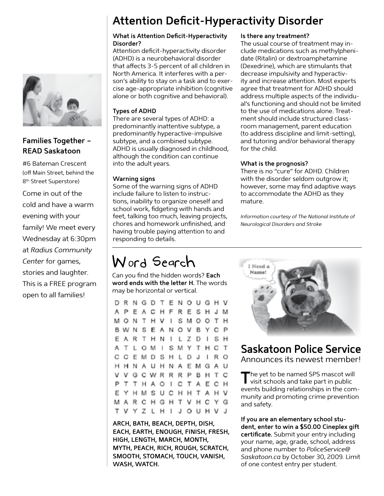

#### **Families Together – READ Saskatoon**

#6 Bateman Crescent (off Main Street, behind the 8th Street Superstore)

Come in out of the cold and have a warm evening with your family! We meet every Wednesday at 6:30pm at *Radius Community Center* for games, stories and laughter. This is a FREE program open to all families!

## **Attention Deficit-Hyperactivity Disorder**

#### **What is Attention Deficit-Hyperactivity Disorder?**

Attention deficit-hyperactivity disorder (ADHD) is a neurobehavioral disorder that afects 3-5 percent of all children in North America. It interferes with a person's ability to stay on a task and to exercise age-appropriate inhibition (cognitive alone or both cognitive and behavioral).

#### **Types of ADHD**

There are several types of ADHD: a predominantly inattentive subtype, a predominantly hyperactive-impulsive subtype, and a combined subtype. ADHD is usually diagnosed in childhood, although the condition can continue into the adult years.

#### **Warning signs**

Some of the warning signs of ADHD include failure to listen to instructions, inability to organize oneself and school work, fidgeting with hands and feet, talking too much, leaving projects, chores and homework unfinished, and having trouble paying attention to and responding to details.

#### **Is there any treatment?**

The usual course of treatment may include medications such as methylphenidate (Ritalin) or dextroamphetamine (Dexedrine), which are stimulants that decrease impulsivity and hyperactivity and increase attention. Most experts agree that treatment for ADHD should address multiple aspects of the individual's functioning and should not be limited to the use of medications alone. Treatment should include structured classroom management, parent education (to address discipline and limit-setting), and tutoring and/or behavioral therapy for the child.

#### **What is the prognosis?**

There is no "cure" for ADHD. Children with the disorder seldom outgrow it: however, some may find adaptive ways to accommodate the ADHD as they mature.

*Information courtesy of The National Institute of Neurological Disorders and Stroke*

# **Word Search**

Can you find the hidden words? **Each word ends with the letter H.** The words may be horizontal or vertical.

DRNGDTENOUGHV APEACHFRESHJM **MONTHVISMOOTH BWNSEANOVBYCP** E A R T H N I L Z D I S H A T L O M I S M Y T H C T CCEMDSHLDJIRO H H N A U H N A E M G A U **VGCWRRRPBHTC** T H A O I C T A E C H T. EYHMSUCHHTAHV M A R C H G H T V H C Y G T V Y Z L H I J O U H V J

**ARCH, BATH, BEACH, DEPTH, DISH, EACH, EARTH, ENOUGH, FINISH, FRESH, HIGH, LENGTH, MARCH, MONTH, MYTH, PEACH, RICH, ROUGH, SCRATCH, SMOOTH, STOMACH, TOUCH, VANISH, WASH, WATCH.**



### **Saskatoon Police Service** Announces its newest member!

The yet to be named SPS mascot will<br>visit schools and take part in public events building relationships in the community and promoting crime prevention and safety.

**If you are an elementary school student, enter to win a \$50.00 Cineplex gift certificate.** Submit your entry including your name, age, grade, school, address and phone number to *PoliceService@ Saskatoon.ca* by October 30, 2009. Limit of one contest entry per student.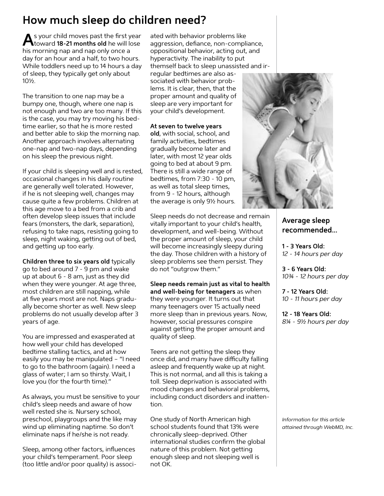## **How much sleep do children need?**

**A** s your child moves past the first year toward **18-21 months old** he will lose his morning nap and nap only once a day for an hour and a half, to two hours. While toddlers need up to 14 hours a day of sleep, they typically get only about 10½.

The transition to one nap may be a bumpy one, though, where one nap is not enough and two are too many. If this is the case, you may try moving his bedtime earlier, so that he is more rested and better able to skip the morning nap. Another approach involves alternating one-nap and two-nap days, depending on his sleep the previous night.

If your child is sleeping well and is rested, occasional changes in his daily routine are generally well tolerated. However, if he is not sleeping well, changes may cause quite a few problems. Children at this age move to a bed from a crib and often develop sleep issues that include fears (monsters, the dark, separation), refusing to take naps, resisting going to sleep, night waking, getting out of bed, and getting up too early.

**Children three to six years old** typically go to bed around 7 - 9 pm and wake up at about 6 - 8 am, just as they did when they were younger. At age three, most children are still napping, while at five years most are not. Naps gradually become shorter as well. New sleep problems do not usually develop after 3 years of age.

You are impressed and exasperated at how well your child has developed bedtime stalling tactics, and at how easily you may be manipulated – "I need to go to the bathroom (again). I need a glass of water; I am so thirsty. Wait, I love you (for the fourth time)."

As always, you must be sensitive to your child's sleep needs and aware of how well rested she is. Nursery school, preschool, playgroups and the like may wind up eliminating naptime. So don't eliminate naps if he/she is not ready.

Sleep, among other factors, influences your child's temperament. Poor sleep (too little and/or poor quality) is associated with behavior problems like aggression, defiance, non-compliance, oppositional behavior, acting out, and hyperactivity. The inability to put themself back to sleep unassisted and ir-

regular bedtimes are also associated with behavior problems. It is clear, then, that the proper amount and quality of sleep are very important for your child's development.

#### **At seven to twelve years**

**old**, with social, school, and family activities, bedtimes gradually become later and later, with most 12 year olds going to bed at about 9 pm. There is still a wide range of bedtimes, from 7:30 - 10 pm, as well as total sleep times, from 9 - 12 hours, although the average is only 9½ hours.

do not "outgrow them."

quality of sleep.

Sleep needs do not decrease and remain vitally important to your child's health, development, and well-being. Without the proper amount of sleep, your child will become increasingly sleepy during the day. Those children with a history of sleep problems see them persist. They

**Sleep needs remain just as vital to health and well-being for teenagers** as when they were younger. It turns out that many teenagers over 15 actually need more sleep than in previous years. Now, however, social pressures conspire against getting the proper amount and



#### **Average sleep recommended...**

**1 - 3 Years Old:**  *12 - 14 hours per day*

**3 - 6 Years Old:**  *10¾ - 12 hours per day*

**7 - 12 Years Old:**  *10 - 11 hours per day*

**12 - 18 Years Old:**  *8¼ - 9½ hours per day*

Teens are not getting the sleep they once did, and many have difficulty falling asleep and frequently wake up at night. This is not normal, and all this is taking a toll. Sleep deprivation is associated with mood changes and behavioral problems, including conduct disorders and inattention.

One study of North American high school students found that 13% were chronically sleep-deprived. Other international studies confirm the global nature of this problem. Not getting enough sleep and not sleeping well is not OK.

*Information for this article attained through WebMD, Inc.*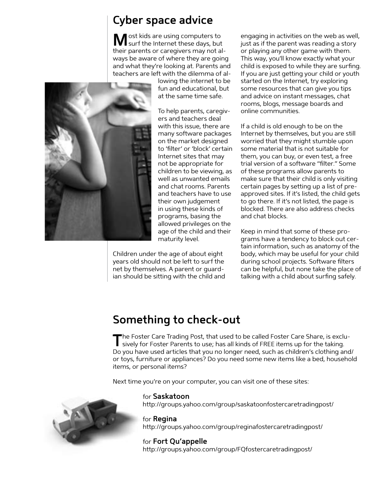### **Cyber space advice**

**M** ost kids are using computers to surf the Internet these days, but their parents or caregivers may not always be aware of where they are going and what they're looking at. Parents and teachers are left with the dilemma of al-

lowing the internet to be fun and educational, but at the same time safe.

To help parents, caregivers and teachers deal with this issue, there are many software packages on the market designed to 'filter' or 'block' certain Internet sites that may not be appropriate for children to be viewing, as well as unwanted emails and chat rooms. Parents and teachers have to use their own judgement in using these kinds of programs, basing the allowed privileges on the age of the child and their maturity level.

Children under the age of about eight years old should not be left to surf the net by themselves. A parent or guardian should be sitting with the child and engaging in activities on the web as well, just as if the parent was reading a story or playing any other game with them. This way, you'll know exactly what your child is exposed to while they are surfing. If you are just getting your child or youth started on the Internet, try exploring some resources that can give you tips and advice on instant messages, chat rooms, blogs, message boards and online communities.

If a child is old enough to be on the Internet by themselves, but you are still worried that they might stumble upon some material that is not suitable for them, you can buy, or even test, a free trial version of a software "filter." Some of these programs allow parents to make sure that their child is only visiting certain pages by setting up a list of preapproved sites. If it's listed, the child gets to go there. If it's not listed, the page is blocked. There are also address checks and chat blocks.

Keep in mind that some of these programs have a tendency to block out certain information, such as anatomy of the body, which may be useful for your child during school projects. Software filters can be helpful, but none take the place of talking with a child about surfing safely.

## **Something to check-out**

The Foster Care Trading Post, that used to be called Foster Care Share, is exclusively for Foster Parents to use; has all kinds of FREE items up for the taking. Do you have used articles that you no longer need, such as children's clothing and/ or toys, furniture or appliances? Do you need some new items like a bed, household items, or personal items?

Next time you're on your computer, you can visit one of these sites:

for **Saskatoon** http://groups.yahoo.com/group/saskatoonfostercaretradingpost/

for **Regina** http://groups.yahoo.com/group/reginafostercaretradingpost/

for **Fort Qu'appelle**  http://groups.yahoo.com/group/FQfostercaretradingpost/

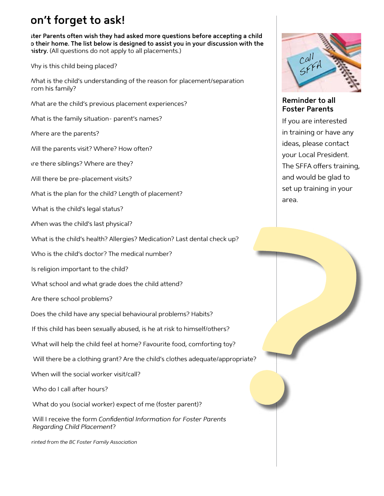### on't forget to ask!

ster Parents often wish they had asked more questions before accepting a child o their home. The list below is designed to assist you in your discussion with the nistry. (All questions do not apply to all placements.)

Vhy is this child being placed?

What is the child's understanding of the reason for placement/separation rom his family?

What are the child's previous placement experiences?

What is the family situation- parent's names?

Where are the parents?

Will the parents visit? Where? How often?

tre there siblings? Where are they?

Nill there be pre-placement visits?

What is the plan for the child? Length of placement?

What is the child's legal status?

When was the child's last physical?

What is the child's health? Allergies? Medication? Last dental check up?

Who is the child's doctor? The medical number?

Is religion important to the child?

What school and what grade does the child attend?

Are there school problems?

Does the child have any special behavioural problems? Habits?

If this child has been sexually abused, is he at risk to himself/others?

What will help the child feel at home? Favourite food, comforting toy?

Will there be a clothing grant? Are the child's clothes adequate/appropriate?

When will the social worker visit/call?

Who do I call after hours?

What do you (social worker) expect of me (foster parent)?

Will I receive the form Confidential Information for Foster Parents **Regarding Child Placement?** 

rinted from the BC Foster Family Association



#### Reminder to all **Foster Parents**

If you are interested in training or have any ideas, please contact your Local President. The SFFA offers training, and would be glad to set up training in your area.